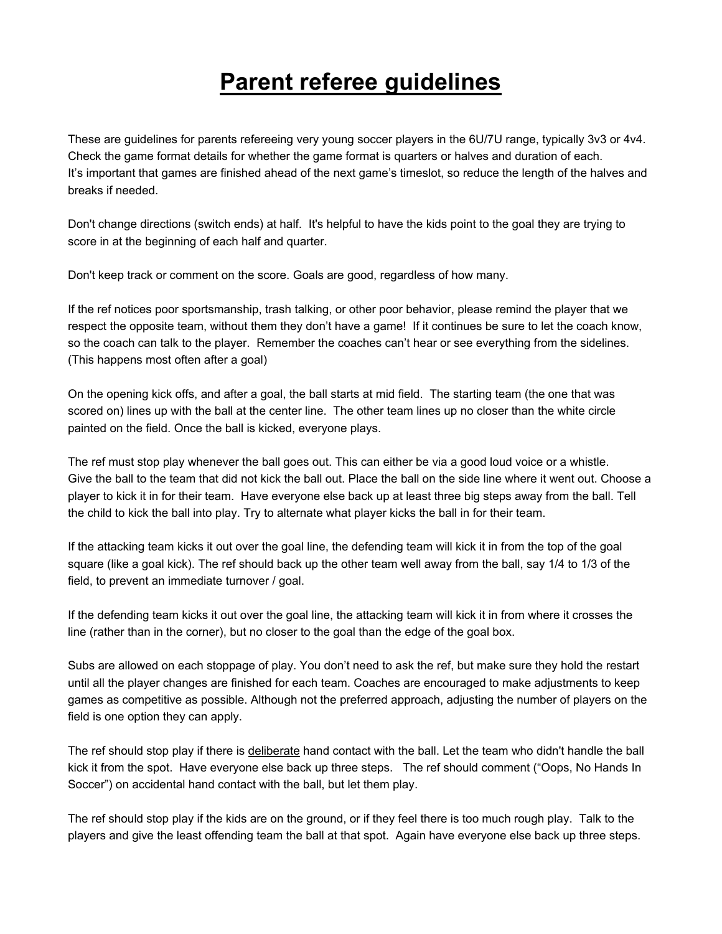## **Parent referee guidelines**

These are guidelines for parents refereeing very young soccer players in the 6U/7U range, typically 3v3 or 4v4. Check the game format details for whether the game format is quarters or halves and duration of each. It's important that games are finished ahead of the next game's timeslot, so reduce the length of the halves and breaks if needed.

Don't change directions (switch ends) at half. It's helpful to have the kids point to the goal they are trying to score in at the beginning of each half and quarter.

Don't keep track or comment on the score. Goals are good, regardless of how many.

If the ref notices poor sportsmanship, trash talking, or other poor behavior, please remind the player that we respect the opposite team, without them they don't have a game! If it continues be sure to let the coach know, so the coach can talk to the player. Remember the coaches can't hear or see everything from the sidelines. (This happens most often after a goal)

On the opening kick offs, and after a goal, the ball starts at mid field. The starting team (the one that was scored on) lines up with the ball at the center line. The other team lines up no closer than the white circle painted on the field. Once the ball is kicked, everyone plays.

The ref must stop play whenever the ball goes out. This can either be via a good loud voice or a whistle. Give the ball to the team that did not kick the ball out. Place the ball on the side line where it went out. Choose a player to kick it in for their team. Have everyone else back up at least three big steps away from the ball. Tell the child to kick the ball into play. Try to alternate what player kicks the ball in for their team.

If the attacking team kicks it out over the goal line, the defending team will kick it in from the top of the goal square (like a goal kick). The ref should back up the other team well away from the ball, say 1/4 to 1/3 of the field, to prevent an immediate turnover / goal.

If the defending team kicks it out over the goal line, the attacking team will kick it in from where it crosses the line (rather than in the corner), but no closer to the goal than the edge of the goal box.

Subs are allowed on each stoppage of play. You don't need to ask the ref, but make sure they hold the restart until all the player changes are finished for each team. Coaches are encouraged to make adjustments to keep games as competitive as possible. Although not the preferred approach, adjusting the number of players on the field is one option they can apply.

The ref should stop play if there is deliberate hand contact with the ball. Let the team who didn't handle the ball kick it from the spot. Have everyone else back up three steps. The ref should comment ("Oops, No Hands In Soccer") on accidental hand contact with the ball, but let them play.

The ref should stop play if the kids are on the ground, or if they feel there is too much rough play. Talk to the players and give the least offending team the ball at that spot. Again have everyone else back up three steps.